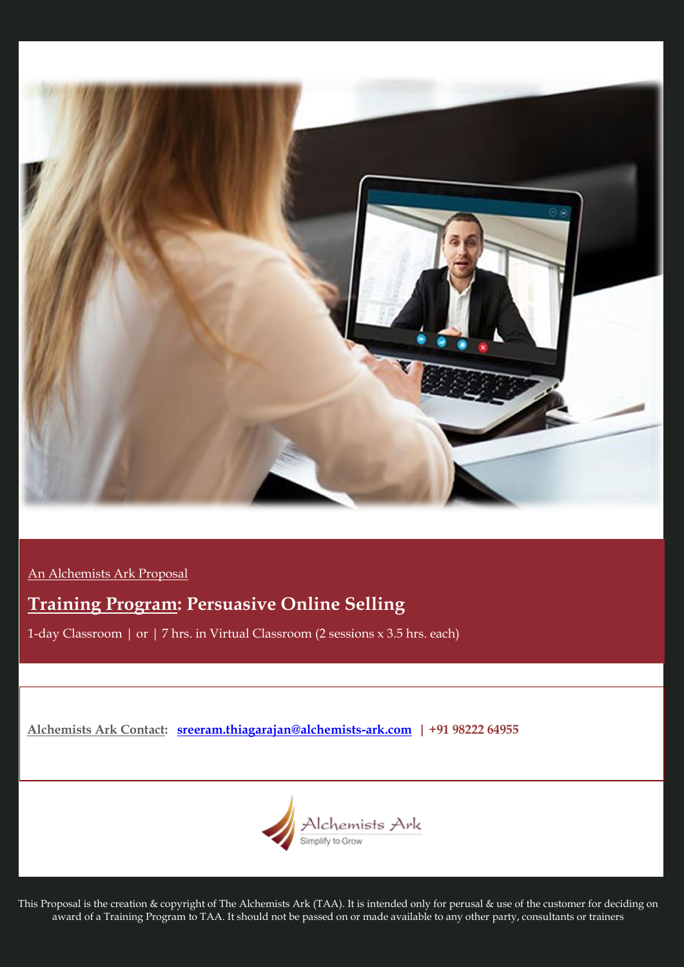

An Alchemists Ark Proposal

# **Training Program: Persuasive Online Selling**

1-day Classroom | or | 7 hrs. in Virtual Classroom (2 sessions x 3.5 hrs. each)

**Alchemists Ark Contact: [sreeram.thiagarajan@alchemists-ark.com](mailto:sreeram.thiagarajan@alchemists-ark.com) | +91 98222 64955**



This Proposal is the creation & copyright of The Alchemists Ark (TAA). It is intended only for perusal & use of the customer for deciding on award of a Training Program to TAA. It should not be passed on or made available to any other party, consultants or trainers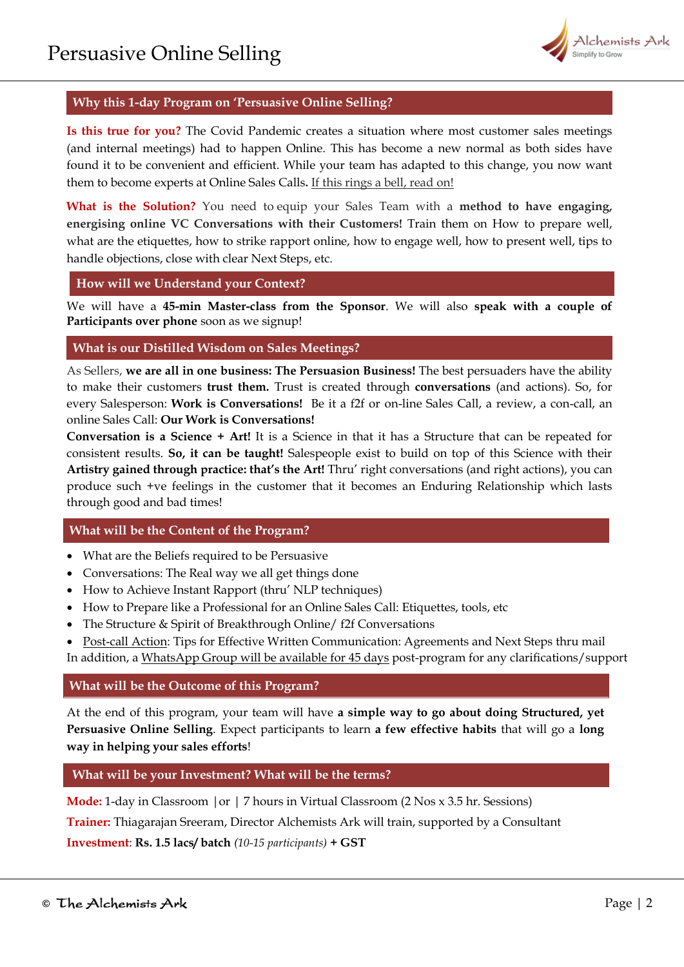

# **Why this 1-day Program on 'Persuasive Online Selling?**

**Is this true for you?** The Covid Pandemic creates a situation where most customer sales meetings (and internal meetings) had to happen Online. This has become a new normal as both sides have found it to be convenient and efficient. While your team has adapted to this change, you now want them to become experts at Online Sales Calls**.** If this rings a bell, read on!

**What is the Solution?** You need to equip your Sales Team with a **method to have engaging, energising online VC Conversations with their Customers!** Train them on How to prepare well, what are the etiquettes, how to strike rapport online, how to engage well, how to present well, tips to handle objections, close with clear Next Steps, etc.

**How will we Understand your Context?**

We will have a **45-min Master-class from the Sponsor**. We will also **speak with a couple of Participants over phone** soon as we signup!

## **What is our Distilled Wisdom on Sales Meetings?**

As Sellers, **we are all in one business: The Persuasion Business!** The best persuaders have the ability to make their customers **trust them.** Trust is created through **conversations** (and actions). So, for every Salesperson: **Work is Conversations!** Be it a f2f or on-line Sales Call, a review, a con-call, an online Sales Call: **Our Work is Conversations!**

**Conversation is a Science + Art!** It is a Science in that it has a Structure that can be repeated for consistent results. **So, it can be taught!** Salespeople exist to build on top of this Science with their **Artistry gained through practice: that's the Art!** Thru' right conversations (and right actions), you can produce such +ve feelings in the customer that it becomes an Enduring Relationship which lasts through good and bad times!

## **What will be the Content of the Program?**

- What are the Beliefs required to be Persuasive
- Conversations: The Real way we all get things done
- How to Achieve Instant Rapport (thru' NLP techniques)
- How to Prepare like a Professional for an Online Sales Call: Etiquettes, tools, etc
- The Structure & Spirit of Breakthrough Online/ f2f Conversations
- Post-call Action: Tips for Effective Written Communication: Agreements and Next Steps thru mail In addition, a WhatsApp Group will be available for 45 days post-program for any clarifications/support

## **What will be the Outcome of this Program?**

At the end of this program, your team will have **a simple way to go about doing Structured, yet Persuasive Online Selling**. Expect participants to learn **a few effective habits** that will go a **long way in helping your sales efforts**!

## **What will be your Investment? What will be the terms?**

**Mode:** 1-day in Classroom | or | 7 hours in Virtual Classroom (2 Nos x 3.5 hr. Sessions)

**Trainer:** Thiagarajan Sreeram, Director Alchemists Ark will train, supported by a Consultant

**Investment**: **Rs. 1.5 lacs/ batch** *(10-15 participants)* **+ GST**